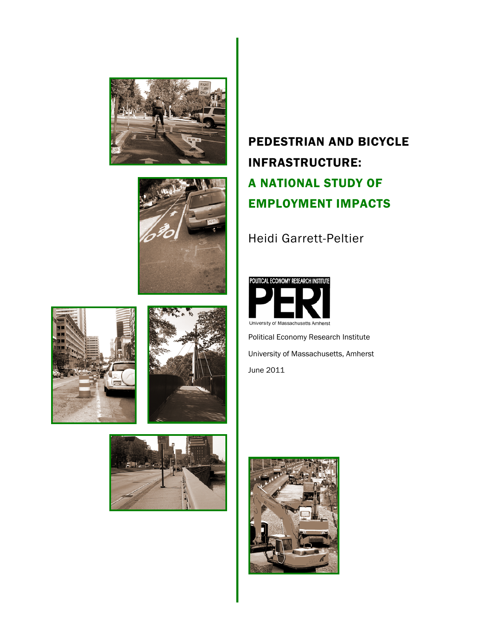







## PEDESTRIAN AND BICYCLE INFRASTRUCTURE: A NATIONAL STUDY OF EMPLOYMENT IMPACTS

Heidi Garrett-Peltier



Political Economy Research Institute University of Massachusetts, Amherst June 2011



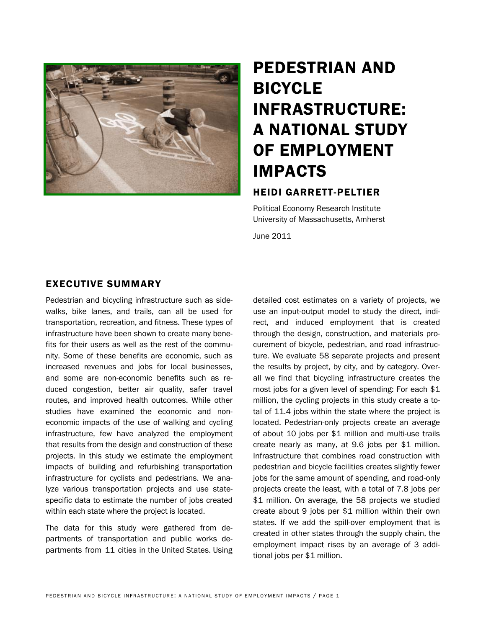

# PEDESTRIAN AND BICYCLE INFRASTRUCTURE: A NATIONAL STUDY OF EMPLOYMENT IMPACTS

## HEIDI GARRETT-PELTIER

Political Economy Research Institute University of Massachusetts, Amherst

June 2011

### EXECUTIVE SUMMARY

Pedestrian and bicycling infrastructure such as sidewalks, bike lanes, and trails, can all be used for transportation, recreation, and fitness. These types of infrastructure have been shown to create many benefits for their users as well as the rest of the community. Some of these benefits are economic, such as increased revenues and jobs for local businesses, and some are non-economic benefits such as reduced congestion, better air quality, safer travel routes, and improved health outcomes. While other studies have examined the economic and noneconomic impacts of the use of walking and cycling infrastructure, few have analyzed the employment that results from the design and construction of these projects. In this study we estimate the employment impacts of building and refurbishing transportation infrastructure for cyclists and pedestrians. We analyze various transportation projects and use statespecific data to estimate the number of jobs created within each state where the project is located.

The data for this study were gathered from departments of transportation and public works departments from 11 cities in the United States. Using detailed cost estimates on a variety of projects, we use an input-output model to study the direct, indirect, and induced employment that is created through the design, construction, and materials procurement of bicycle, pedestrian, and road infrastructure. We evaluate 58 separate projects and present the results by project, by city, and by category. Overall we find that bicycling infrastructure creates the most jobs for a given level of spending: For each \$1 million, the cycling projects in this study create a total of 11.4 jobs within the state where the project is located. Pedestrian-only projects create an average of about 10 jobs per \$1 million and multi-use trails create nearly as many, at 9.6 jobs per \$1 million. Infrastructure that combines road construction with pedestrian and bicycle facilities creates slightly fewer jobs for the same amount of spending, and road-only projects create the least, with a total of 7.8 jobs per \$1 million. On average, the 58 projects we studied create about 9 jobs per \$1 million within their own states. If we add the spill-over employment that is created in other states through the supply chain, the employment impact rises by an average of 3 additional jobs per \$1 million.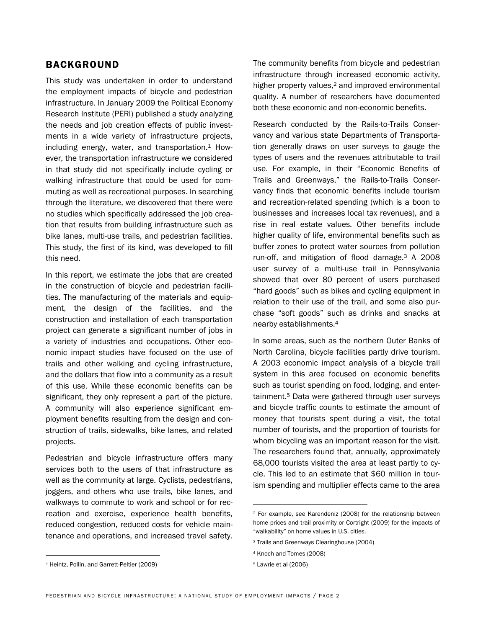### BACKGROUND

This study was undertaken in order to understand the employment impacts of bicycle and pedestrian infrastructure. In January 2009 the Political Economy Research Institute (PERI) published a study analyzing the needs and job creation effects of public investments in a wide variety of infrastructure projects, including energy, water, and transportation. $1$  However, the transportation infrastructure we considered in that study did not specifically include cycling or walking infrastructure that could be used for commuting as well as recreational purposes. In searching through the literature, we discovered that there were no studies which specifically addressed the job creation that results from building infrastructure such as bike lanes, multi-use trails, and pedestrian facilities. This study, the first of its kind, was developed to fill this need.

In this report, we estimate the jobs that are created in the construction of bicycle and pedestrian facilities. The manufacturing of the materials and equipment, the design of the facilities, and the construction and installation of each transportation project can generate a significant number of jobs in a variety of industries and occupations. Other economic impact studies have focused on the use of trails and other walking and cycling infrastructure, and the dollars that flow into a community as a result of this use. While these economic benefits can be significant, they only represent a part of the picture. A community will also experience significant employment benefits resulting from the design and construction of trails, sidewalks, bike lanes, and related projects.

Pedestrian and bicycle infrastructure offers many services both to the users of that infrastructure as well as the community at large. Cyclists, pedestrians, joggers, and others who use trails, bike lanes, and walkways to commute to work and school or for recreation and exercise, experience health benefits, reduced congestion, reduced costs for vehicle maintenance and operations, and increased travel safety.

The community benefits from bicycle and pedestrian infrastructure through increased economic activity, higher property values,<sup>2</sup> and improved environmental quality. A number of researchers have documented both these economic and non-economic benefits.

Research conducted by the Rails-to-Trails Conservancy and various state Departments of Transportation generally draws on user surveys to gauge the types of users and the revenues attributable to trail use. For example, in their "Economic Benefits of Trails and Greenways," the Rails-to-Trails Conservancy finds that economic benefits include tourism and recreation-related spending (which is a boon to businesses and increases local tax revenues), and a rise in real estate values. Other benefits include higher quality of life, environmental benefits such as buffer zones to protect water sources from pollution run-off, and mitigation of flood damage.3 A 2008 user survey of a multi-use trail in Pennsylvania showed that over 80 percent of users purchased "hard goods" such as bikes and cycling equipment in relation to their use of the trail, and some also purchase "soft goods" such as drinks and snacks at nearby establishments.4

In some areas, such as the northern Outer Banks of North Carolina, bicycle facilities partly drive tourism. A 2003 economic impact analysis of a bicycle trail system in this area focused on economic benefits such as tourist spending on food, lodging, and entertainment.<sup>5</sup> Data were gathered through user surveys and bicycle traffic counts to estimate the amount of money that tourists spent during a visit, the total number of tourists, and the proportion of tourists for whom bicycling was an important reason for the visit. The researchers found that, annually, approximately 68,000 tourists visited the area at least partly to cycle. This led to an estimate that \$60 million in tourism spending and multiplier effects came to the area

 $\overline{a}$ 

 $\overline{a}$ 

<sup>2</sup> For example, see Karendeniz (2008) for the relationship between home prices and trail proximity or Cortright (2009) for the impacts of "walkability" on home values in U.S. cities.

<sup>3</sup> Trails and Greenways Clearinghouse (2004)

<sup>4</sup> Knoch and Tomes (2008)

<sup>5</sup> Lawrie et al (2006)

<sup>1</sup> Heintz, Pollin, and Garrett-Peltier (2009)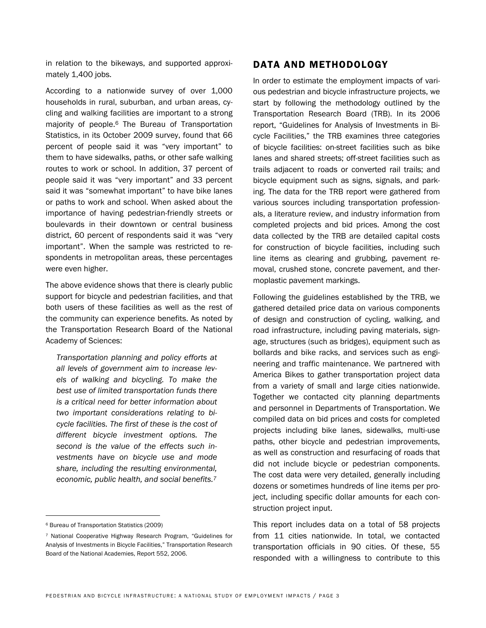in relation to the bikeways, and supported approximately 1,400 jobs.

According to a nationwide survey of over 1,000 households in rural, suburban, and urban areas, cycling and walking facilities are important to a strong majority of people.6 The Bureau of Transportation Statistics, in its October 2009 survey, found that 66 percent of people said it was "very important" to them to have sidewalks, paths, or other safe walking routes to work or school. In addition, 37 percent of people said it was "very important" and 33 percent said it was "somewhat important" to have bike lanes or paths to work and school. When asked about the importance of having pedestrian-friendly streets or boulevards in their downtown or central business district, 60 percent of respondents said it was "very important". When the sample was restricted to respondents in metropolitan areas, these percentages were even higher.

The above evidence shows that there is clearly public support for bicycle and pedestrian facilities, and that both users of these facilities as well as the rest of the community can experience benefits. As noted by the Transportation Research Board of the National Academy of Sciences:

*Transportation planning and policy efforts at all levels of government aim to increase levels of walking and bicycling. To make the best use of limited transportation funds there is a critical need for better information about two important considerations relating to bicycle facilities. The first of these is the cost of different bicycle investment options. The second is the value of the effects such investments have on bicycle use and mode share, including the resulting environmental, economic, public health, and social benefits.7*

 $\overline{a}$ 

#### DATA AND METHODOLOGY

In order to estimate the employment impacts of various pedestrian and bicycle infrastructure projects, we start by following the methodology outlined by the Transportation Research Board (TRB). In its 2006 report, "Guidelines for Analysis of Investments in Bicycle Facilities," the TRB examines three categories of bicycle facilities: on-street facilities such as bike lanes and shared streets; off-street facilities such as trails adjacent to roads or converted rail trails; and bicycle equipment such as signs, signals, and parking. The data for the TRB report were gathered from various sources including transportation professionals, a literature review, and industry information from completed projects and bid prices. Among the cost data collected by the TRB are detailed capital costs for construction of bicycle facilities, including such line items as clearing and grubbing, pavement removal, crushed stone, concrete pavement, and thermoplastic pavement markings.

Following the guidelines established by the TRB, we gathered detailed price data on various components of design and construction of cycling, walking, and road infrastructure, including paving materials, signage, structures (such as bridges), equipment such as bollards and bike racks, and services such as engineering and traffic maintenance. We partnered with America Bikes to gather transportation project data from a variety of small and large cities nationwide. Together we contacted city planning departments and personnel in Departments of Transportation. We compiled data on bid prices and costs for completed projects including bike lanes, sidewalks, multi-use paths, other bicycle and pedestrian improvements, as well as construction and resurfacing of roads that did not include bicycle or pedestrian components. The cost data were very detailed, generally including dozens or sometimes hundreds of line items per project, including specific dollar amounts for each construction project input.

This report includes data on a total of 58 projects from 11 cities nationwide. In total, we contacted transportation officials in 90 cities. Of these, 55 responded with a willingness to contribute to this

<sup>6</sup> Bureau of Transportation Statistics (2009)

<sup>7</sup> National Cooperative Highway Research Program, "Guidelines for Analysis of Investments in Bicycle Facilities," Transportation Research Board of the National Academies, Report 552, 2006.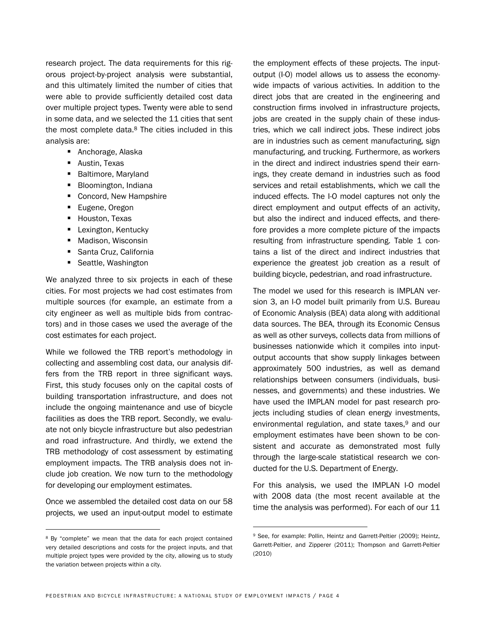research project. The data requirements for this rigorous project-by-project analysis were substantial, and this ultimately limited the number of cities that were able to provide sufficiently detailed cost data over multiple project types. Twenty were able to send in some data, and we selected the 11 cities that sent the most complete data.<sup>8</sup> The cities included in this analysis are:

- Anchorage, Alaska
- Austin, Texas
- **Baltimore, Maryland**
- **Bloomington, Indiana**
- Concord, New Hampshire
- Eugene, Oregon
- **Houston, Texas**
- **Lexington, Kentucky**
- Madison, Wisconsin
- **Santa Cruz, California**
- Seattle, Washington

We analyzed three to six projects in each of these cities. For most projects we had cost estimates from multiple sources (for example, an estimate from a city engineer as well as multiple bids from contractors) and in those cases we used the average of the cost estimates for each project.

While we followed the TRB report's methodology in collecting and assembling cost data, our analysis differs from the TRB report in three significant ways. First, this study focuses only on the capital costs of building transportation infrastructure, and does not include the ongoing maintenance and use of bicycle facilities as does the TRB report. Secondly, we evaluate not only bicycle infrastructure but also pedestrian and road infrastructure. And thirdly, we extend the TRB methodology of cost assessment by estimating employment impacts. The TRB analysis does not include job creation. We now turn to the methodology for developing our employment estimates.

Once we assembled the detailed cost data on our 58 projects, we used an input-output model to estimate

 $\overline{a}$ 

the employment effects of these projects. The inputoutput (I-O) model allows us to assess the economywide impacts of various activities. In addition to the direct jobs that are created in the engineering and construction firms involved in infrastructure projects, jobs are created in the supply chain of these industries, which we call indirect jobs. These indirect jobs are in industries such as cement manufacturing, sign manufacturing, and trucking. Furthermore, as workers in the direct and indirect industries spend their earnings, they create demand in industries such as food services and retail establishments, which we call the induced effects. The I-O model captures not only the direct employment and output effects of an activity, but also the indirect and induced effects, and therefore provides a more complete picture of the impacts resulting from infrastructure spending. Table 1 contains a list of the direct and indirect industries that experience the greatest job creation as a result of building bicycle, pedestrian, and road infrastructure.

The model we used for this research is IMPLAN version 3, an I-O model built primarily from U.S. Bureau of Economic Analysis (BEA) data along with additional data sources. The BEA, through its Economic Census as well as other surveys, collects data from millions of businesses nationwide which it compiles into inputoutput accounts that show supply linkages between approximately 500 industries, as well as demand relationships between consumers (individuals, businesses, and governments) and these industries. We have used the IMPLAN model for past research projects including studies of clean energy investments, environmental regulation, and state taxes,<sup>9</sup> and our employment estimates have been shown to be consistent and accurate as demonstrated most fully through the large-scale statistical research we conducted for the U.S. Department of Energy.

For this analysis, we used the IMPLAN I-O model with 2008 data (the most recent available at the time the analysis was performed). For each of our 11

 $\overline{a}$ 

<sup>8</sup> By "complete" we mean that the data for each project contained very detailed descriptions and costs for the project inputs, and that multiple project types were provided by the city, allowing us to study the variation between projects within a city.

<sup>9</sup> See, for example: Pollin, Heintz and Garrett-Peltier (2009); Heintz, Garrett-Peltier, and Zipperer (2011); Thompson and Garrett-Peltier (2010)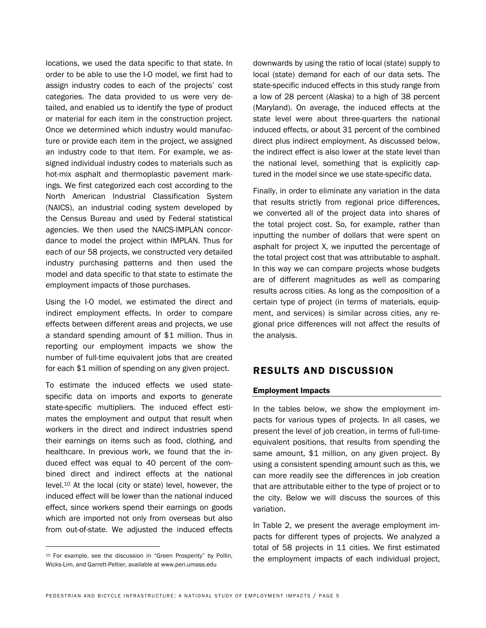locations, we used the data specific to that state. In order to be able to use the I-O model, we first had to assign industry codes to each of the projects' cost categories. The data provided to us were very detailed, and enabled us to identify the type of product or material for each item in the construction project. Once we determined which industry would manufacture or provide each item in the project, we assigned an industry code to that item. For example, we assigned individual industry codes to materials such as hot-mix asphalt and thermoplastic pavement markings. We first categorized each cost according to the North American Industrial Classification System (NAICS), an industrial coding system developed by the Census Bureau and used by Federal statistical agencies. We then used the NAICS-IMPLAN concordance to model the project within IMPLAN. Thus for each of our 58 projects, we constructed very detailed industry purchasing patterns and then used the model and data specific to that state to estimate the employment impacts of those purchases.

Using the I-O model, we estimated the direct and indirect employment effects. In order to compare effects between different areas and projects, we use a standard spending amount of \$1 million. Thus in reporting our employment impacts we show the number of full-time equivalent jobs that are created for each \$1 million of spending on any given project.

To estimate the induced effects we used statespecific data on imports and exports to generate state-specific multipliers. The induced effect estimates the employment and output that result when workers in the direct and indirect industries spend their earnings on items such as food, clothing, and healthcare. In previous work, we found that the induced effect was equal to 40 percent of the combined direct and indirect effects at the national level.10 At the local (city or state) level, however, the induced effect will be lower than the national induced effect, since workers spend their earnings on goods which are imported not only from overseas but also from out-of-state. We adjusted the induced effects

 $\overline{a}$ 

downwards by using the ratio of local (state) supply to local (state) demand for each of our data sets. The state-specific induced effects in this study range from a low of 28 percent (Alaska) to a high of 38 percent (Maryland). On average, the induced effects at the state level were about three-quarters the national induced effects, or about 31 percent of the combined direct plus indirect employment. As discussed below, the indirect effect is also lower at the state level than the national level, something that is explicitly captured in the model since we use state-specific data.

Finally, in order to eliminate any variation in the data that results strictly from regional price differences, we converted all of the project data into shares of the total project cost. So, for example, rather than inputting the number of dollars that were spent on asphalt for project X, we inputted the percentage of the total project cost that was attributable to asphalt. In this way we can compare projects whose budgets are of different magnitudes as well as comparing results across cities. As long as the composition of a certain type of project (in terms of materials, equipment, and services) is similar across cities, any regional price differences will not affect the results of the analysis.

#### RESULTS AND DISCUSSION

#### Employment Impacts

In the tables below, we show the employment impacts for various types of projects. In all cases, we present the level of job creation, in terms of full-timeequivalent positions, that results from spending the same amount, \$1 million, on any given project. By using a consistent spending amount such as this, we can more readily see the differences in job creation that are attributable either to the type of project or to the city. Below we will discuss the sources of this variation.

In Table 2, we present the average employment impacts for different types of projects. We analyzed a total of 58 projects in 11 cities. We first estimated the employment impacts of each individual project,

<sup>10</sup> For example, see the discussion in "Green Prosperity" by Pollin, Wicks-Lim, and Garrett-Peltier, available at www.peri.umass.edu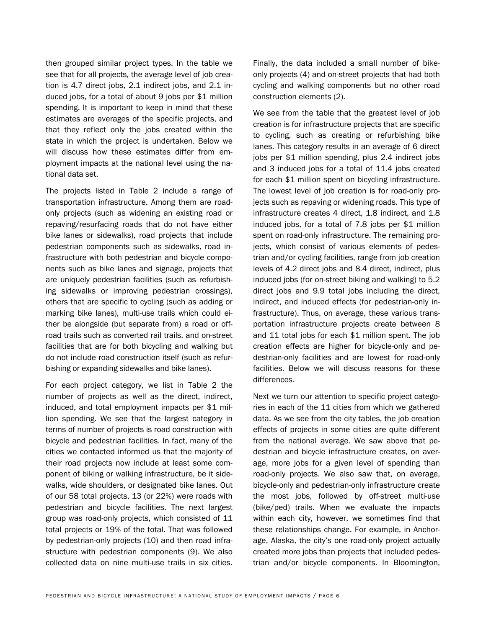then grouped similar project types. In the table we see that for all projects, the average level of job creation is 4.7 direct jobs, 2.1 indirect jobs, and 2.1 induced jobs, for a total of about 9 jobs per \$1 million spending. It is important to keep in mind that these estimates are averages of the specific projects, and that they reflect only the jobs created within the state in which the project is undertaken. Below we will discuss how these estimates differ from employment impacts at the national level using the national data set.

The projects listed in Table 2 include a range of transportation infrastructure. Among them are roadonly projects (such as widening an existing road or repaving/resurfacing roads that do not have either bike lanes or sidewalks), road projects that include pedestrian components such as sidewalks, road infrastructure with both pedestrian and bicycle components such as bike lanes and signage, projects that are uniquely pedestrian facilities (such as refurbishing sidewalks or improving pedestrian crossings), others that are specific to cycling (such as adding or marking bike lanes), multi-use trails which could either be alongside (but separate from) a road or offroad trails such as converted rail trails, and on-street facilities that are for both bicycling and walking but do not include road construction itself (such as refurbishing or expanding sidewalks and bike lanes).

For each project category, we list in Table 2 the number of projects as well as the direct, indirect, induced, and total employment impacts per \$1 million spending. We see that the largest category in terms of number of projects is road construction with bicycle and pedestrian facilities. In fact, many of the cities we contacted informed us that the majority of their road projects now include at least some component of biking or walking infrastructure, be it sidewalks, wide shoulders, or designated bike lanes. Out of our 58 total projects, 13 (or 22%) were roads with pedestrian and bicycle facilities. The next largest group was road-only projects, which consisted of 11 total projects or 19% of the total. That was followed by pedestrian-only projects (10) and then road infrastructure with pedestrian components (9). We also collected data on nine multi-use trails in six cities.

Finally, the data included a small number of bikeonly projects (4) and on-street projects that had both cycling and walking components but no other road construction elements (2).

We see from the table that the greatest level of job creation is for infrastructure projects that are specific to cycling, such as creating or refurbishing bike lanes. This category results in an average of 6 direct jobs per \$1 million spending, plus 2.4 indirect jobs and 3 induced jobs for a total of 11.4 jobs created for each \$1 million spent on bicycling infrastructure. The lowest level of job creation is for road-only projects such as repaving or widening roads. This type of infrastructure creates 4 direct, 1.8 indirect, and 1.8 induced jobs, for a total of 7.8 jobs per \$1 million spent on road-only infrastructure. The remaining projects, which consist of various elements of pedestrian and/or cycling facilities, range from job creation levels of 4.2 direct jobs and 8.4 direct, indirect, plus induced jobs (for on-street biking and walking) to 5.2 direct jobs and 9.9 total jobs including the direct, indirect, and induced effects (for pedestrian-only infrastructure). Thus, on average, these various transportation infrastructure projects create between 8 and 11 total jobs for each \$1 million spent. The job creation effects are higher for bicycle-only and pedestrian-only facilities and are lowest for road-only facilities. Below we will discuss reasons for these differences.

Next we turn our attention to specific project categories in each of the 11 cities from which we gathered data. As we see from the city tables, the job creation effects of projects in some cities are quite different from the national average. We saw above that pedestrian and bicycle infrastructure creates, on average, more jobs for a given level of spending than road-only projects. We also saw that, on average, bicycle-only and pedestrian-only infrastructure create the most jobs, followed by off-street multi-use (bike/ped) trails. When we evaluate the impacts within each city, however, we sometimes find that these relationships change. For example, in Anchorage, Alaska, the city's one road-only project actually created more jobs than projects that included pedestrian and/or bicycle components. In Bloomington,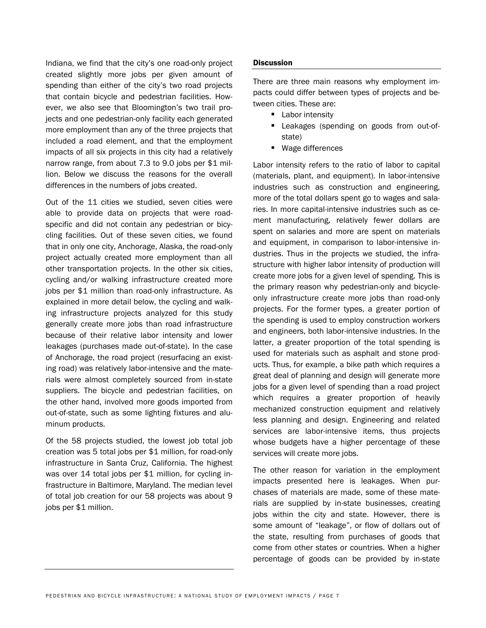Indiana, we find that the city's one road-only project created slightly more jobs per given amount of spending than either of the city's two road projects that contain bicycle and pedestrian facilities. However, we also see that Bloomington's two trail projects and one pedestrian-only facility each generated more employment than any of the three projects that included a road element, and that the employment impacts of all six projects in this city had a relatively narrow range, from about 7.3 to 9.0 jobs per \$1 million. Below we discuss the reasons for the overall differences in the numbers of jobs created.

Out of the 11 cities we studied, seven cities were able to provide data on projects that were roadspecific and did not contain any pedestrian or bicycling facilities. Out of these seven cities, we found that in only one city, Anchorage, Alaska, the road-only project actually created more employment than all other transportation projects. In the other six cities, cycling and/or walking infrastructure created more jobs per \$1 million than road-only infrastructure. As explained in more detail below, the cycling and walking infrastructure projects analyzed for this study generally create more jobs than road infrastructure because of their relative labor intensity and lower leakages (purchases made out-of-state). In the case of Anchorage, the road project (resurfacing an existing road) was relatively labor-intensive and the materials were almost completely sourced from in-state suppliers. The bicycle and pedestrian facilities, on the other hand, involved more goods imported from out-of-state, such as some lighting fixtures and aluminum products.

Of the 58 projects studied, the lowest job total job creation was 5 total jobs per \$1 million, for road-only infrastructure in Santa Cruz, California. The highest was over 14 total jobs per \$1 million, for cycling infrastructure in Baltimore, Maryland. The median level of total job creation for our 58 projects was about 9 jobs per \$1 million.

#### **Discussion**

There are three main reasons why employment impacts could differ between types of projects and between cities. These are:

- **Labor intensity**
- **Leakages (spending on goods from out-of**state)
- Wage differences

Labor intensity refers to the ratio of labor to capital (materials, plant, and equipment). In labor-intensive industries such as construction and engineering, more of the total dollars spent go to wages and salaries. In more capital-intensive industries such as cement manufacturing, relatively fewer dollars are spent on salaries and more are spent on materials and equipment, in comparison to labor-intensive industries. Thus in the projects we studied, the infrastructure with higher labor intensity of production will create more jobs for a given level of spending. This is the primary reason why pedestrian-only and bicycleonly infrastructure create more jobs than road-only projects. For the former types, a greater portion of the spending is used to employ construction workers and engineers, both labor-intensive industries. In the latter, a greater proportion of the total spending is used for materials such as asphalt and stone products. Thus, for example, a bike path which requires a great deal of planning and design will generate more jobs for a given level of spending than a road project which requires a greater proportion of heavily mechanized construction equipment and relatively less planning and design. Engineering and related services are labor-intensive items, thus projects whose budgets have a higher percentage of these services will create more jobs.

The other reason for variation in the employment impacts presented here is leakages. When purchases of materials are made, some of these materials are supplied by in-state businesses, creating jobs within the city and state. However, there is some amount of "leakage", or flow of dollars out of the state, resulting from purchases of goods that come from other states or countries. When a higher percentage of goods can be provided by in-state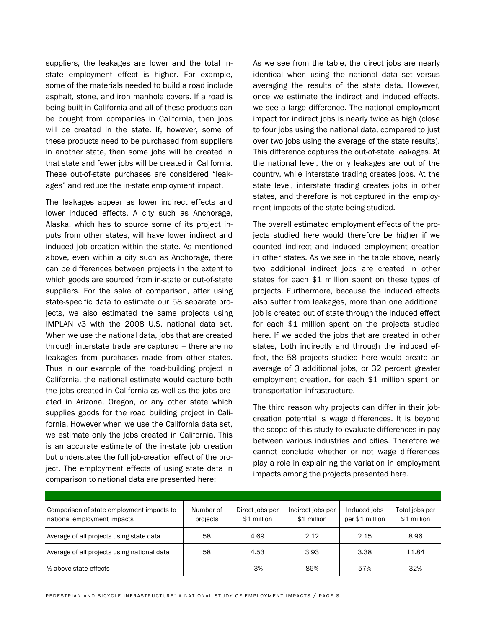suppliers, the leakages are lower and the total instate employment effect is higher. For example, some of the materials needed to build a road include asphalt, stone, and iron manhole covers. If a road is being built in California and all of these products can be bought from companies in California, then jobs will be created in the state. If, however, some of these products need to be purchased from suppliers in another state, then some jobs will be created in that state and fewer jobs will be created in California. These out-of-state purchases are considered "leakages" and reduce the in-state employment impact.

The leakages appear as lower indirect effects and lower induced effects. A city such as Anchorage, Alaska, which has to source some of its project inputs from other states, will have lower indirect and induced job creation within the state. As mentioned above, even within a city such as Anchorage, there can be differences between projects in the extent to which goods are sourced from in-state or out-of-state suppliers. For the sake of comparison, after using state-specific data to estimate our 58 separate projects, we also estimated the same projects using IMPLAN v3 with the 2008 U.S. national data set. When we use the national data, jobs that are created through interstate trade are captured -- there are no leakages from purchases made from other states. Thus in our example of the road-building project in California, the national estimate would capture both the jobs created in California as well as the jobs created in Arizona, Oregon, or any other state which supplies goods for the road building project in California. However when we use the California data set, we estimate only the jobs created in California. This is an accurate estimate of the in-state job creation but understates the full job-creation effect of the project. The employment effects of using state data in comparison to national data are presented here:

As we see from the table, the direct jobs are nearly identical when using the national data set versus averaging the results of the state data. However, once we estimate the indirect and induced effects, we see a large difference. The national employment impact for indirect jobs is nearly twice as high (close to four jobs using the national data, compared to just over two jobs using the average of the state results). This difference captures the out-of-state leakages. At the national level, the only leakages are out of the country, while interstate trading creates jobs. At the state level, interstate trading creates jobs in other states, and therefore is not captured in the employment impacts of the state being studied.

The overall estimated employment effects of the projects studied here would therefore be higher if we counted indirect and induced employment creation in other states. As we see in the table above, nearly two additional indirect jobs are created in other states for each \$1 million spent on these types of projects. Furthermore, because the induced effects also suffer from leakages, more than one additional job is created out of state through the induced effect for each \$1 million spent on the projects studied here. If we added the jobs that are created in other states, both indirectly and through the induced effect, the 58 projects studied here would create an average of 3 additional jobs, or 32 percent greater employment creation, for each \$1 million spent on transportation infrastructure.

The third reason why projects can differ in their jobcreation potential is wage differences. It is beyond the scope of this study to evaluate differences in pay between various industries and cities. Therefore we cannot conclude whether or not wage differences play a role in explaining the variation in employment impacts among the projects presented here.

| Comparison of state employment impacts to<br>national employment impacts | Number of<br>projects | Direct jobs per<br>\$1 million | Indirect jobs per<br>\$1 million | Induced jobs<br>per \$1 million | Total jobs per<br>\$1 million |
|--------------------------------------------------------------------------|-----------------------|--------------------------------|----------------------------------|---------------------------------|-------------------------------|
| Average of all projects using state data                                 | 58                    | 4.69                           | 2.12                             | 2.15                            | 8.96                          |
| Average of all projects using national data                              | 58                    | 4.53                           | 3.93                             | 3.38                            | 11.84                         |
| % above state effects                                                    |                       | $-3%$                          | 86%                              | 57%                             | 32%                           |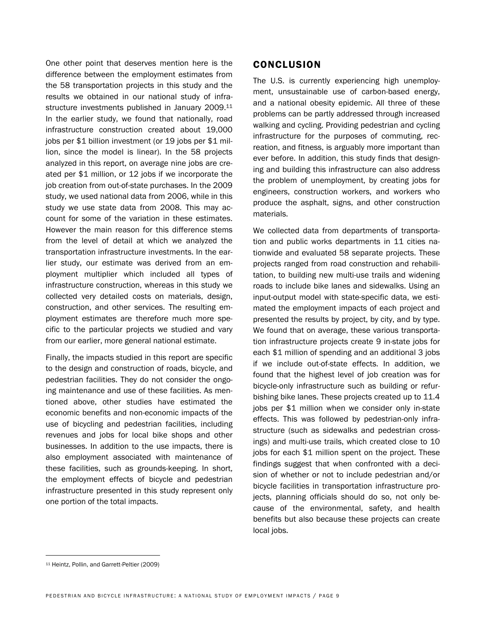One other point that deserves mention here is the difference between the employment estimates from the 58 transportation projects in this study and the results we obtained in our national study of infrastructure investments published in January 2009.<sup>11</sup> In the earlier study, we found that nationally, road infrastructure construction created about 19,000 jobs per \$1 billion investment (or 19 jobs per \$1 million, since the model is linear). In the 58 projects analyzed in this report, on average nine jobs are created per \$1 million, or 12 jobs if we incorporate the job creation from out-of-state purchases. In the 2009 study, we used national data from 2006, while in this study we use state data from 2008. This may account for some of the variation in these estimates. However the main reason for this difference stems from the level of detail at which we analyzed the transportation infrastructure investments. In the earlier study, our estimate was derived from an employment multiplier which included all types of infrastructure construction, whereas in this study we collected very detailed costs on materials, design, construction, and other services. The resulting employment estimates are therefore much more specific to the particular projects we studied and vary from our earlier, more general national estimate.

Finally, the impacts studied in this report are specific to the design and construction of roads, bicycle, and pedestrian facilities. They do not consider the ongoing maintenance and use of these facilities. As mentioned above, other studies have estimated the economic benefits and non-economic impacts of the use of bicycling and pedestrian facilities, including revenues and jobs for local bike shops and other businesses. In addition to the use impacts, there is also employment associated with maintenance of these facilities, such as grounds-keeping. In short, the employment effects of bicycle and pedestrian infrastructure presented in this study represent only one portion of the total impacts.

#### CONCLUSION

The U.S. is currently experiencing high unemployment, unsustainable use of carbon-based energy, and a national obesity epidemic. All three of these problems can be partly addressed through increased walking and cycling. Providing pedestrian and cycling infrastructure for the purposes of commuting, recreation, and fitness, is arguably more important than ever before. In addition, this study finds that designing and building this infrastructure can also address the problem of unemployment, by creating jobs for engineers, construction workers, and workers who produce the asphalt, signs, and other construction materials.

We collected data from departments of transportation and public works departments in 11 cities nationwide and evaluated 58 separate projects. These projects ranged from road construction and rehabilitation, to building new multi-use trails and widening roads to include bike lanes and sidewalks. Using an input-output model with state-specific data, we estimated the employment impacts of each project and presented the results by project, by city, and by type. We found that on average, these various transportation infrastructure projects create 9 in-state jobs for each \$1 million of spending and an additional 3 jobs if we include out-of-state effects. In addition, we found that the highest level of job creation was for bicycle-only infrastructure such as building or refurbishing bike lanes. These projects created up to 11.4 jobs per \$1 million when we consider only in-state effects. This was followed by pedestrian-only infrastructure (such as sidewalks and pedestrian crossings) and multi-use trails, which created close to 10 jobs for each \$1 million spent on the project. These findings suggest that when confronted with a decision of whether or not to include pedestrian and/or bicycle facilities in transportation infrastructure projects, planning officials should do so, not only because of the environmental, safety, and health benefits but also because these projects can create local jobs.

 $\overline{a}$ 

<sup>11</sup> Heintz, Pollin, and Garrett-Peltier (2009)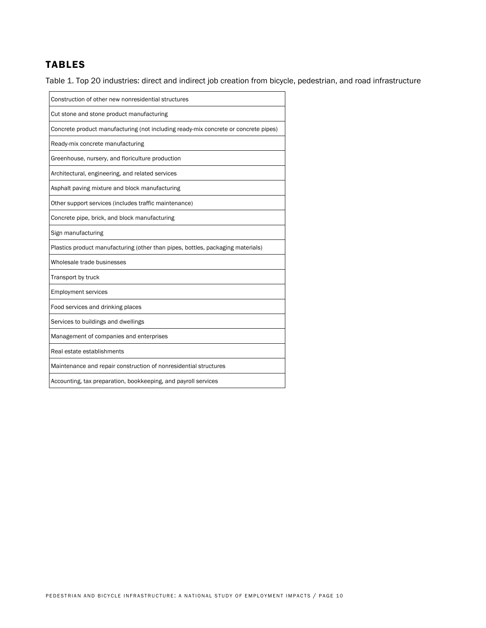## TABLES

Table 1. Top 20 industries: direct and indirect job creation from bicycle, pedestrian, and road infrastructure

| Construction of other new nonresidential structures                                 |
|-------------------------------------------------------------------------------------|
| Cut stone and stone product manufacturing                                           |
| Concrete product manufacturing (not including ready-mix concrete or concrete pipes) |
| Ready-mix concrete manufacturing                                                    |
| Greenhouse, nursery, and floriculture production                                    |
| Architectural, engineering, and related services                                    |
| Asphalt paving mixture and block manufacturing                                      |
| Other support services (includes traffic maintenance)                               |
| Concrete pipe, brick, and block manufacturing                                       |
| Sign manufacturing                                                                  |
| Plastics product manufacturing (other than pipes, bottles, packaging materials)     |
| Wholesale trade businesses                                                          |
| Transport by truck                                                                  |
| <b>Employment services</b>                                                          |
| Food services and drinking places                                                   |
| Services to buildings and dwellings                                                 |
| Management of companies and enterprises                                             |
| Real estate establishments                                                          |
| Maintenance and repair construction of nonresidential structures                    |
| Accounting, tax preparation, bookkeeping, and payroll services                      |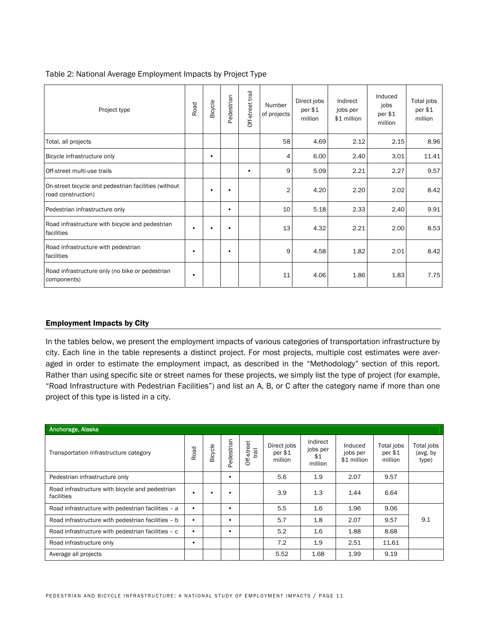| Table 2: National Average Employment Impacts by Project Type |  |  |  |
|--------------------------------------------------------------|--|--|--|
|                                                              |  |  |  |

| Project type                                                               | Road | Bicycle   | Pedestrian | trail<br>Off-street | Number<br>of projects | Direct jobs<br>per \$1<br>million | Indirect<br>jobs per<br>\$1 million | Induced<br>jobs<br>per \$1<br>million | Total jobs<br>per \$1<br>million |
|----------------------------------------------------------------------------|------|-----------|------------|---------------------|-----------------------|-----------------------------------|-------------------------------------|---------------------------------------|----------------------------------|
| Total, all projects                                                        |      |           |            |                     | 58                    | 4.69                              | 2.12                                | 2.15                                  | 8.96                             |
| Bicycle infrastructure only                                                |      | $\bullet$ |            |                     | 4                     | 6.00                              | 2.40                                | 3.01                                  | 11.41                            |
| Off-street multi-use trails                                                |      |           |            | ٠                   | 9                     | 5.09                              | 2.21                                | 2.27                                  | 9.57                             |
| On-street bicycle and pedestrian facilities (without<br>road construction) |      | ٠         |            |                     | $\overline{2}$        | 4.20                              | 2.20                                | 2.02                                  | 8.42                             |
| Pedestrian infrastructure only                                             |      |           | ٠          |                     | 10                    | 5.18                              | 2.33                                | 2.40                                  | 9.91                             |
| Road infrastructure with bicycle and pedestrian<br>facilities              | ٠    | $\bullet$ |            |                     | 13                    | 4.32                              | 2.21                                | 2.00                                  | 8.53                             |
| Road infrastructure with pedestrian<br>facilities                          | ٠    |           | ٠          |                     | 9                     | 4.58                              | 1.82                                | 2.01                                  | 8.42                             |
| Road infrastructure only (no bike or pedestrian<br>components)             | ٠    |           |            |                     | 11                    | 4.06                              | 1.86                                | 1.83                                  | 7.75                             |

#### Employment Impacts by City

In the tables below, we present the employment impacts of various categories of transportation infrastructure by city. Each line in the table represents a distinct project. For most projects, multiple cost estimates were averaged in order to estimate the employment impact, as described in the "Methodology" section of this report. Rather than using specific site or street names for these projects, we simply list the type of project (for example, "Road Infrastructure with Pedestrian Facilities") and list an A, B, or C after the category name if more than one project of this type is listed in a city.

| Anchorage, Alaska                                             |      |         |            |                     |                                   |                                        |                                    |                                     |                                 |
|---------------------------------------------------------------|------|---------|------------|---------------------|-----------------------------------|----------------------------------------|------------------------------------|-------------------------------------|---------------------------------|
| Transportation infrastructure category                        | Road | Bicycle | Pedestrian | Off-street<br>trail | Direct jobs<br>per \$1<br>million | Indirect<br>jobs per<br>\$1<br>million | Induced<br>jobs per<br>\$1 million | Total jobs<br>$per$ $$1$<br>million | Total jobs<br>(avg. by<br>type) |
| Pedestrian infrastructure only                                |      |         | ٠          |                     | 5.6                               | 1.9                                    | 2.07                               | 9.57                                |                                 |
| Road infrastructure with bicycle and pedestrian<br>facilities |      |         |            |                     | 3.9                               | 1.3                                    | 1.44                               | 6.64                                |                                 |
| Road infrastructure with pedestrian facilities - a            |      |         | $\bullet$  |                     | 5.5                               | 1.6                                    | 1.96                               | 9.06                                |                                 |
| Road infrastructure with pedestrian facilities - b            |      |         | $\bullet$  |                     | 5.7                               | 1.8                                    | 2.07                               | 9.57                                | 9.1                             |
| Road infrastructure with pedestrian facilities - c            |      |         |            |                     | 5.2                               | 1.6                                    | 1.88                               | 8.68                                |                                 |
| Road infrastructure only                                      | ٠    |         |            |                     | 7.2                               | 1.9                                    | 2.51                               | 11.61                               |                                 |
| Average all projects                                          |      |         |            |                     | 5.52                              | 1.68                                   | 1.99                               | 9.19                                |                                 |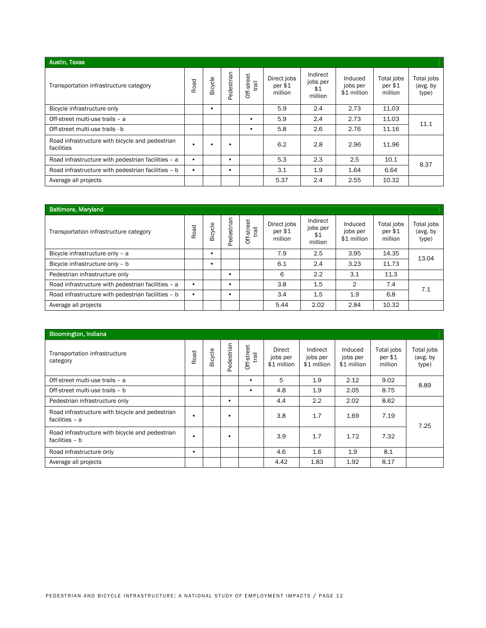| <b>Austin, Texas</b>                                          |      |         |            |                     |                                   |                                        |                                    |                                     |                                 |
|---------------------------------------------------------------|------|---------|------------|---------------------|-----------------------------------|----------------------------------------|------------------------------------|-------------------------------------|---------------------------------|
| Transportation infrastructure category                        | Road | Bicycle | Pedestrian | Off-street<br>trail | Direct jobs<br>per \$1<br>million | Indirect<br>jobs per<br>\$1<br>million | Induced<br>jobs per<br>\$1 million | Total jobs<br>$per$ $$1$<br>million | Total jobs<br>(avg. by<br>type) |
| Bicycle infrastructure only                                   |      | ٠       |            |                     | 5.9                               | 2.4                                    | 2.73                               | 11.03                               |                                 |
| Off-street multi-use trails - a                               |      |         |            | $\bullet$           | 5.9                               | 2.4                                    | 2.73                               | 11.03                               | 11.1                            |
| Off-street multi-use trails - b                               |      |         |            | $\bullet$           | 5.8                               | 2.6                                    | 2.76                               | 11.16                               |                                 |
| Road infrastructure with bicycle and pedestrian<br>facilities | ٠    | ٠       |            |                     | 6.2                               | 2.8                                    | 2.96                               | 11.96                               |                                 |
| Road infrastructure with pedestrian facilities - a            | ٠    |         |            |                     | 5.3                               | 2.3                                    | 2.5                                | 10.1                                | 8.37                            |
| Road infrastructure with pedestrian facilities - b            | ٠    |         |            |                     | 3.1                               | 1.9                                    | 1.64                               | 6.64                                |                                 |
| Average all projects                                          |      |         |            |                     | 5.37                              | 2.4                                    | 2.55                               | 10.32                               |                                 |

| <b>Baltimore, Maryland</b>                         |      |         |            |                    |                                      |                                        |                                    |                                     |                                 |
|----------------------------------------------------|------|---------|------------|--------------------|--------------------------------------|----------------------------------------|------------------------------------|-------------------------------------|---------------------------------|
| Transportation infrastructure category             | Road | Bicycle | Pedestrian | Off-street<br>jier | Direct jobs<br>$per$ $$1$<br>million | Indirect<br>jobs per<br>\$1<br>million | Induced<br>jobs per<br>\$1 million | Total jobs<br>$per$ $$1$<br>million | Total jobs<br>(avg. by<br>type) |
| Bicycle infrastructure only - a                    |      |         |            |                    | 7.9                                  | 2.5                                    | 3.95                               | 14.35                               | 13.04                           |
| Bicycle infrastructure only - b                    |      |         |            |                    | 6.1                                  | 2.4                                    | 3.23                               | 11.73                               |                                 |
| Pedestrian infrastructure only                     |      |         |            |                    | 6                                    | 2.2                                    | 3.1                                | 11.3                                |                                 |
| Road infrastructure with pedestrian facilities - a |      |         |            |                    | 3.8                                  | 1.5                                    | $\mathfrak{D}$                     | 7.4                                 | 7.1                             |
| Road infrastructure with pedestrian facilities - b |      |         |            |                    | 3.4                                  | 1.5                                    | 1.9                                | 6.8                                 |                                 |
| Average all projects                               |      |         |            |                    | 5.44                                 | 2.02                                   | 2.84                               | 10.32                               |                                 |

| <b>Bloomington, Indiana</b>                                       |      |         |            |                     |                                   |                                     |                                    |                                  |                                 |
|-------------------------------------------------------------------|------|---------|------------|---------------------|-----------------------------------|-------------------------------------|------------------------------------|----------------------------------|---------------------------------|
| Transportation infrastructure<br>category                         | Road | Bicycle | Pedestrian | Off-street<br>trail | Direct<br>jobs per<br>\$1 million | Indirect<br>jobs per<br>\$1 million | Induced<br>jobs per<br>\$1 million | Total jobs<br>per \$1<br>million | Total jobs<br>(avg. by<br>type) |
| Off-street multi-use trails - a                                   |      |         |            | ٠                   | 5                                 | 1.9                                 | 2.12                               | 9.02                             | 8.89                            |
| Off-street multi-use trails - b                                   |      |         |            | ٠                   | 4.8                               | 1.9                                 | 2.05                               | 8.75                             |                                 |
| Pedestrian infrastructure only                                    |      |         | ٠          |                     | 4.4                               | 2.2                                 | 2.02                               | 8.62                             |                                 |
| Road infrastructure with bicycle and pedestrian<br>facilities - a | ٠    |         | $\bullet$  |                     | 3.8                               | 1.7                                 | 1.69                               | 7.19                             | 7.25                            |
| Road infrastructure with bicycle and pedestrian<br>facilities - b | ٠    |         | $\bullet$  |                     | 3.9                               | 1.7                                 | 1.72                               | 7.32                             |                                 |
| Road infrastructure only                                          | ٠    |         |            |                     | 4.6                               | 1.6                                 | 1.9                                | 8.1                              |                                 |
| Average all projects                                              |      |         |            |                     | 4.42                              | 1.83                                | 1.92                               | 8.17                             |                                 |
|                                                                   |      |         |            |                     |                                   |                                     |                                    |                                  |                                 |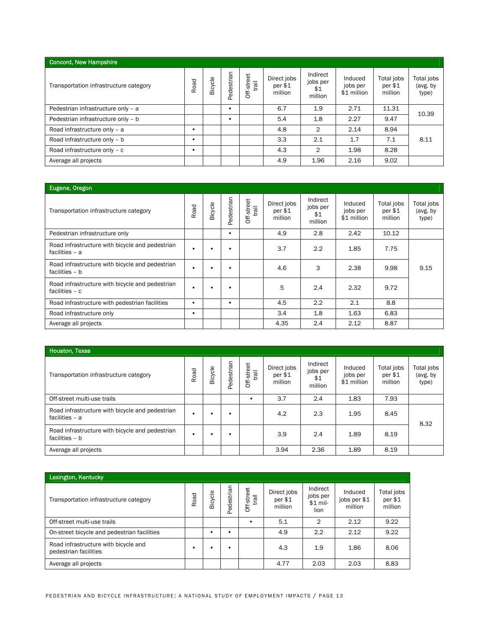| <b>Concord, New Hampshire</b>          |      |         |            |                     |                                      |                                        |                                    |                                  |                                 |
|----------------------------------------|------|---------|------------|---------------------|--------------------------------------|----------------------------------------|------------------------------------|----------------------------------|---------------------------------|
| Transportation infrastructure category | Road | Bicycle | Pedestrian | Off-street<br>trail | Direct jobs<br>$per$ $$1$<br>million | Indirect<br>jobs per<br>\$1<br>million | Induced<br>jobs per<br>\$1 million | Total jobs<br>per \$1<br>million | Total jobs<br>(avg. by<br>type) |
| Pedestrian infrastructure only - a     |      |         |            |                     | 6.7                                  | 1.9                                    | 2.71                               | 11.31                            | 10.39                           |
| Pedestrian infrastructure only - b     |      |         |            |                     | 5.4                                  | 1.8                                    | 2.27                               | 9.47                             |                                 |
| Road infrastructure only - a           |      |         |            |                     | 4.8                                  | $\mathbf{2}$                           | 2.14                               | 8.94                             |                                 |
| Road infrastructure only - b           |      |         |            |                     | 3.3                                  | 2.1                                    | 1.7                                | 7.1                              | 8.11                            |
| Road infrastructure only - c           |      |         |            |                     | 4.3                                  | $\overline{2}$                         | 1.98                               | 8.28                             |                                 |
| Average all projects                   |      |         |            |                     | 4.9                                  | 1.96                                   | 2.16                               | 9.02                             |                                 |

| Eugene, Oregon                                                      |      |         |            |                     |                                   |                                        |                                    |                                     |                                 |
|---------------------------------------------------------------------|------|---------|------------|---------------------|-----------------------------------|----------------------------------------|------------------------------------|-------------------------------------|---------------------------------|
| Transportation infrastructure category                              | Road | Bicycle | Pedestrian | Off-street<br>trail | Direct jobs<br>per \$1<br>million | Indirect<br>jobs per<br>\$1<br>million | Induced<br>jobs per<br>\$1 million | Total jobs<br>$per$ $$1$<br>million | Total jobs<br>(avg. by<br>type) |
| Pedestrian infrastructure only                                      |      |         | ٠          |                     | 4.9                               | 2.8                                    | 2.42                               | 10.12                               |                                 |
| Road infrastructure with bicycle and pedestrian<br>facilities - a   | ٠    | ٠       |            |                     | 3.7                               | 2.2                                    | 1.85                               | 7.75                                |                                 |
| Road infrastructure with bicycle and pedestrian<br>facilities - b   | ٠    | ٠       |            |                     | 4.6                               | 3                                      | 2.38                               | 9.98                                | 9.15                            |
| Road infrastructure with bicycle and pedestrian<br>facilities $- c$ | ٠    | ٠       |            |                     | 5                                 | 2.4                                    | 2.32                               | 9.72                                |                                 |
| Road infrastructure with pedestrian facilities                      | ٠    |         | ٠          |                     | 4.5                               | 2.2                                    | 2.1                                | 8.8                                 |                                 |
| Road infrastructure only                                            | ٠    |         |            |                     | 3.4                               | 1.8                                    | 1.63                               | 6.83                                |                                 |
| Average all projects                                                |      |         |            |                     | 4.35                              | 2.4                                    | 2.12                               | 8.87                                |                                 |

| Houston, Texas                                                    |      |         |            |                     |                                   |                                        |                                    |                                     |                                 |
|-------------------------------------------------------------------|------|---------|------------|---------------------|-----------------------------------|----------------------------------------|------------------------------------|-------------------------------------|---------------------------------|
| Transportation infrastructure category                            | Road | Bicycle | Pedestrian | Off-street<br>trail | Direct jobs<br>per \$1<br>million | Indirect<br>jobs per<br>\$1<br>million | Induced<br>jobs per<br>\$1 million | Total jobs<br>$per$ $$1$<br>million | Total jobs<br>(avg. by<br>type) |
| Off-street multi-use trails                                       |      |         |            |                     | 3.7                               | 2.4                                    | 1.83                               | 7.93                                |                                 |
| Road infrastructure with bicycle and pedestrian<br>facilities - a |      |         |            |                     | 4.2                               | 2.3                                    | 1.95                               | 8.45                                | 8.32                            |
| Road infrastructure with bicycle and pedestrian<br>facilities - b |      |         |            |                     | 3.9                               | 2.4                                    | 1.89                               | 8.19                                |                                 |
| Average all projects                                              |      |         |            |                     | 3.94                              | 2.36                                   | 1.89                               | 8.19                                |                                 |

| Lexington, Kentucky                                           |      |         |            |                          |                                      |                                           |                                    |                                     |
|---------------------------------------------------------------|------|---------|------------|--------------------------|--------------------------------------|-------------------------------------------|------------------------------------|-------------------------------------|
| Transportation infrastructure category                        | Road | Bicycle | Pedestrian | eet<br>trail<br>Off-stre | Direct jobs<br>$per$ $$1$<br>million | Indirect<br>jobs per<br>$$1$ mil-<br>lion | Induced<br>jobs per \$1<br>million | Total jobs<br>$per$ $$1$<br>million |
| Off-street multi-use trails                                   |      |         |            |                          | 5.1                                  | $\overline{2}$                            | 2.12                               | 9.22                                |
| On-street bicycle and pedestrian facilities                   |      |         | ٠          |                          | 4.9                                  | 2.2                                       | 2.12                               | 9.22                                |
| Road infrastructure with bicycle and<br>pedestrian facilities | ٠    |         | ٠          |                          | 4.3                                  | 1.9                                       | 1.86                               | 8.06                                |
| Average all projects                                          |      |         |            |                          | 4.77                                 | 2.03                                      | 2.03                               | 8.83                                |